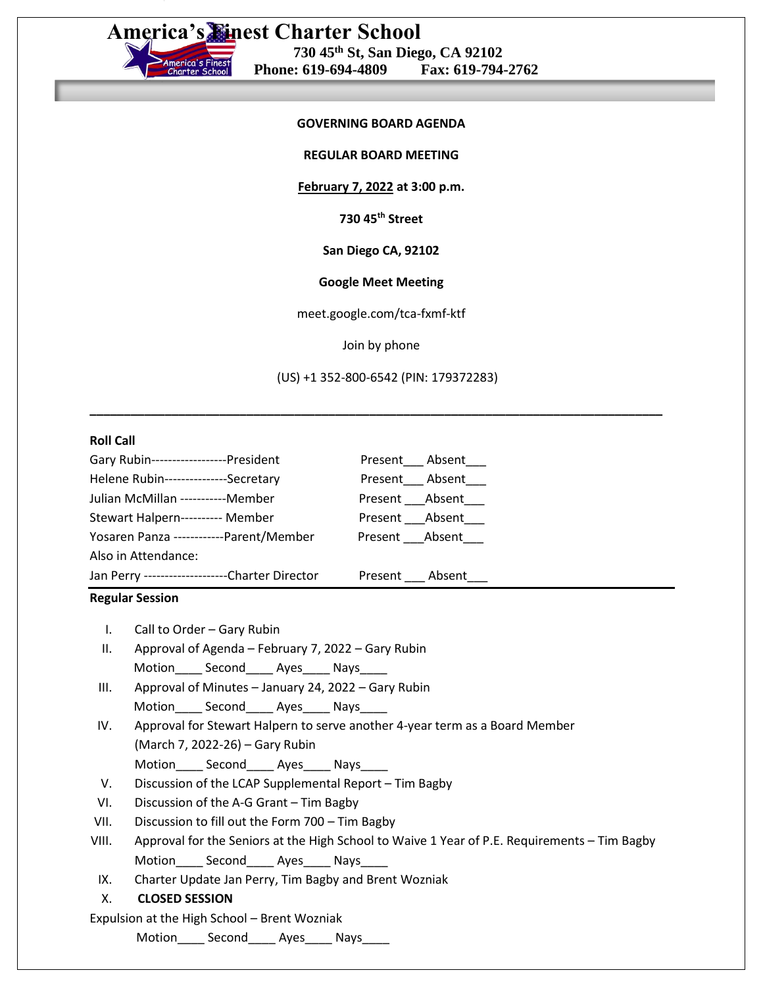# **America's Finest Charter School 730 45th St, San Diego, CA 92102 Phone: 619-694-4809 Fax: 619-794-2762**

## **GOVERNING BOARD AGENDA**

**REGULAR BOARD MEETING**

**February 7, 2022 at 3:00 p.m.**

**730 45th Street**

**San Diego CA, 92102**

### **Google Meet Meeting**

meet.google.com/tca-fxmf-ktf

Join by phone

(US) +1 352-800-6542 (PIN: 179372283)

**\_\_\_\_\_\_\_\_\_\_\_\_\_\_\_\_\_\_\_\_\_\_\_\_\_\_\_\_\_\_\_\_\_\_\_\_\_\_\_\_\_\_\_\_\_\_\_\_\_\_\_\_\_\_\_\_\_\_\_\_\_\_\_\_\_\_\_\_\_\_\_\_\_\_\_\_\_\_\_\_\_\_\_\_**

### **Roll Call**

| Gary Rubin-------------------President          |                        | Present Absent |
|-------------------------------------------------|------------------------|----------------|
| Helene Rubin----------------Secretary           |                        | Present Absent |
| Julian McMillan -----------Member               |                        | Present Absent |
| Stewart Halpern---------- Member                | Present ___ Absent____ |                |
| Yosaren Panza ------------Parent/Member         | Present Absent         |                |
| Also in Attendance:                             |                        |                |
| Jan Perry ---------------------Charter Director |                        | Present Absent |

#### **Regular Session**

I. Call to Order – Gary Rubin

- II. Approval of Agenda February 7, 2022 Gary Rubin Motion Second Ayes Nays
- III. Approval of Minutes January 24, 2022 Gary Rubin Motion Second Ayes Nays
- IV. Approval for Stewart Halpern to serve another 4-year term as a Board Member (March 7, 2022-26) – Gary Rubin Motion Second Ayes Nays
- V. Discussion of the LCAP Supplemental Report Tim Bagby
- VI. Discussion of the A-G Grant Tim Bagby
- VII. Discussion to fill out the Form 700 Tim Bagby
- VIII. Approval for the Seniors at the High School to Waive 1 Year of P.E. Requirements Tim Bagby Motion\_\_\_\_\_ Second\_\_\_\_\_ Ayes\_\_\_\_\_ Nays\_\_\_\_\_
- IX. Charter Update Jan Perry, Tim Bagby and Brent Wozniak

## X. **CLOSED SESSION**

# Expulsion at the High School – Brent Wozniak

Motion\_\_\_\_ Second\_\_\_\_ Ayes\_\_\_\_ Nays\_\_\_\_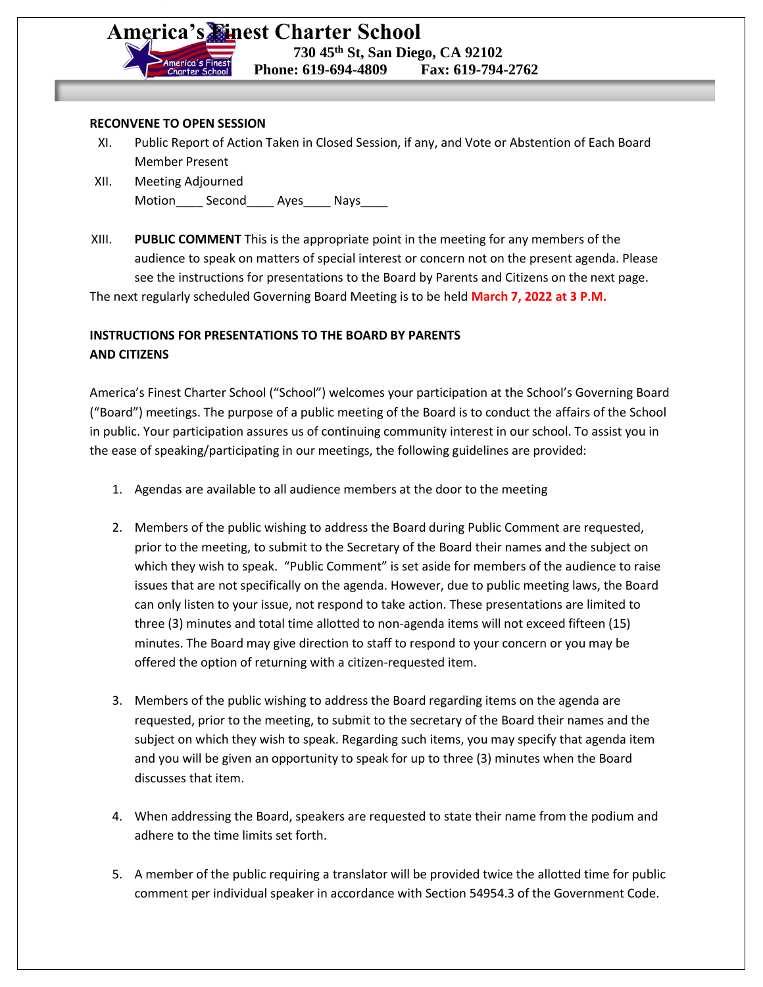# **America's Finest Charter School 730 45th St, San Diego, CA 92102**

 **Phone: 619-694-4809 Fax: 619-794-2762**

### **RECONVENE TO OPEN SESSION**

- XI. Public Report of Action Taken in Closed Session, if any, and Vote or Abstention of Each Board Member Present
- XII. Meeting Adjourned Motion Second Ayes Nays
- XIII. **PUBLIC COMMENT** This is the appropriate point in the meeting for any members of the audience to speak on matters of special interest or concern not on the present agenda. Please see the instructions for presentations to the Board by Parents and Citizens on the next page.

The next regularly scheduled Governing Board Meeting is to be held **March 7, 2022 at 3 P.M.**

# **INSTRUCTIONS FOR PRESENTATIONS TO THE BOARD BY PARENTS AND CITIZENS**

America's Finest Charter School ("School") welcomes your participation at the School's Governing Board ("Board") meetings. The purpose of a public meeting of the Board is to conduct the affairs of the School in public. Your participation assures us of continuing community interest in our school. To assist you in the ease of speaking/participating in our meetings, the following guidelines are provided:

- 1. Agendas are available to all audience members at the door to the meeting
- 2. Members of the public wishing to address the Board during Public Comment are requested, prior to the meeting, to submit to the Secretary of the Board their names and the subject on which they wish to speak. "Public Comment" is set aside for members of the audience to raise issues that are not specifically on the agenda. However, due to public meeting laws, the Board can only listen to your issue, not respond to take action. These presentations are limited to three (3) minutes and total time allotted to non-agenda items will not exceed fifteen (15) minutes. The Board may give direction to staff to respond to your concern or you may be offered the option of returning with a citizen-requested item.
- 3. Members of the public wishing to address the Board regarding items on the agenda are requested, prior to the meeting, to submit to the secretary of the Board their names and the subject on which they wish to speak. Regarding such items, you may specify that agenda item and you will be given an opportunity to speak for up to three (3) minutes when the Board discusses that item.
- 4. When addressing the Board, speakers are requested to state their name from the podium and adhere to the time limits set forth.
- 5. A member of the public requiring a translator will be provided twice the allotted time for public comment per individual speaker in accordance with Section 54954.3 of the Government Code.